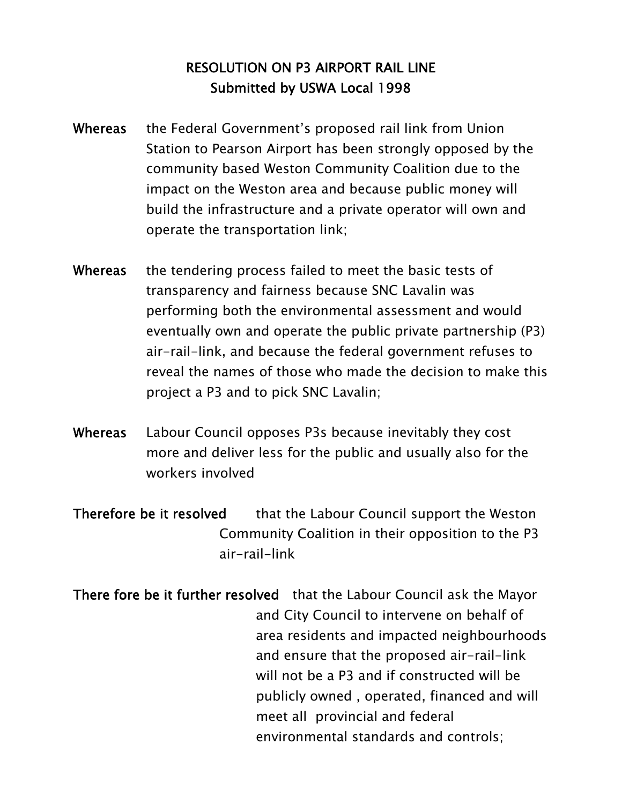## RESOLUTION ON P3 AIRPORT RAIL LINE Submitted by USWA Local 1998

- Whereas the Federal Government's proposed rail link from Union Station to Pearson Airport has been strongly opposed by the community based Weston Community Coalition due to the impact on the Weston area and because public money will build the infrastructure and a private operator will own and operate the transportation link;
- Whereas the tendering process failed to meet the basic tests of transparency and fairness because SNC Lavalin was performing both the environmental assessment and would eventually own and operate the public private partnership (P3) air-rail-link, and because the federal government refuses to reveal the names of those who made the decision to make this project a P3 and to pick SNC Lavalin;
- Whereas Labour Council opposes P3s because inevitably they cost more and deliver less for the public and usually also for the workers involved
- Therefore be it resolved that the Labour Council support the Weston Community Coalition in their opposition to the P3 air-rail-link
- There fore be it further resolved that the Labour Council ask the Mayor and City Council to intervene on behalf of area residents and impacted neighbourhoods and ensure that the proposed air-rail-link will not be a P3 and if constructed will be publicly owned , operated, financed and will meet all provincial and federal environmental standards and controls;